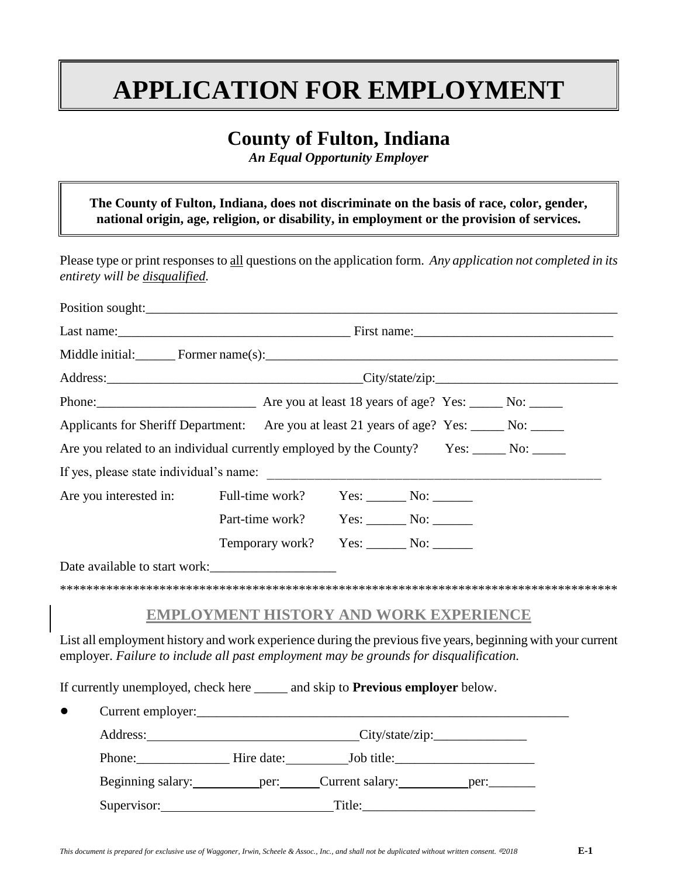# **APPLICATION FOR EMPLOYMENT**

## **County of Fulton, Indiana**

*An Equal Opportunity Employer*

**The County of Fulton, Indiana, does not discriminate on the basis of race, color, gender, national origin, age, religion, or disability, in employment or the provision of services.**

Please type or print responses to all questions on the application form. *Any application not completed in its entirety will be disqualified.*

| Middle initial: Former name(s):                                                                                                                                                                      |                                               |  |  |  |  |  |
|------------------------------------------------------------------------------------------------------------------------------------------------------------------------------------------------------|-----------------------------------------------|--|--|--|--|--|
|                                                                                                                                                                                                      | Address: City/state/zip: City/state/zip:      |  |  |  |  |  |
|                                                                                                                                                                                                      |                                               |  |  |  |  |  |
| Applicants for Sheriff Department: Are you at least 21 years of age? Yes: _____ No: _____                                                                                                            |                                               |  |  |  |  |  |
| Are you related to an individual currently employed by the County? Yes: _____ No: _____                                                                                                              |                                               |  |  |  |  |  |
|                                                                                                                                                                                                      |                                               |  |  |  |  |  |
| Are you interested in:                                                                                                                                                                               | Full-time work?                               |  |  |  |  |  |
|                                                                                                                                                                                                      | Part-time work? Yes: No: No:                  |  |  |  |  |  |
|                                                                                                                                                                                                      | Temporary work? Yes: _______ No: _______      |  |  |  |  |  |
| Date available to start work:                                                                                                                                                                        |                                               |  |  |  |  |  |
|                                                                                                                                                                                                      |                                               |  |  |  |  |  |
|                                                                                                                                                                                                      | <b>EMPLOYMENT HISTORY AND WORK EXPERIENCE</b> |  |  |  |  |  |
| List all employment history and work experience during the previous five years, beginning with your current<br>employer. Failure to include all past employment may be grounds for disqualification. |                                               |  |  |  |  |  |
| If currently unemployed, check here ______ and skip to <b>Previous employer</b> below.                                                                                                               |                                               |  |  |  |  |  |
|                                                                                                                                                                                                      |                                               |  |  |  |  |  |
|                                                                                                                                                                                                      |                                               |  |  |  |  |  |
|                                                                                                                                                                                                      |                                               |  |  |  |  |  |
| Beginning salary: ___________ per: _______ Current salary: ___________ per: _________                                                                                                                |                                               |  |  |  |  |  |
| Supervisor: Title: Title:                                                                                                                                                                            |                                               |  |  |  |  |  |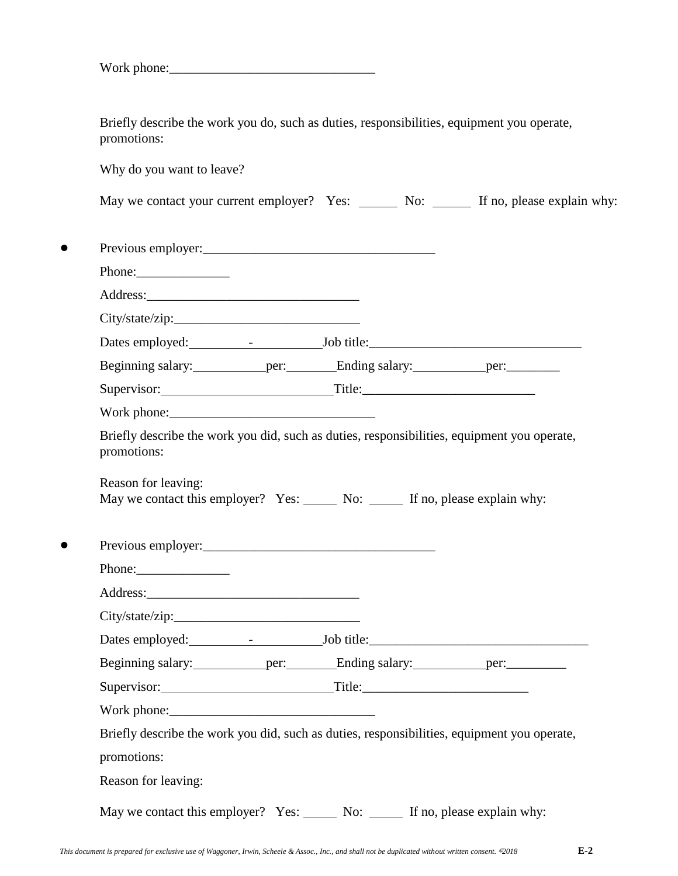Briefly describe the work you do, such as duties, responsibilities, equipment you operate, promotions:

Why do you want to leave?

| May we contact your current employer? Yes: |  | No: |  |  | If no, please explain why: |  |
|--------------------------------------------|--|-----|--|--|----------------------------|--|
|--------------------------------------------|--|-----|--|--|----------------------------|--|

| Phone:                                                                                                                                                                                                        |  |  |
|---------------------------------------------------------------------------------------------------------------------------------------------------------------------------------------------------------------|--|--|
|                                                                                                                                                                                                               |  |  |
|                                                                                                                                                                                                               |  |  |
|                                                                                                                                                                                                               |  |  |
|                                                                                                                                                                                                               |  |  |
| Supervisor: Title: Title:                                                                                                                                                                                     |  |  |
|                                                                                                                                                                                                               |  |  |
| Briefly describe the work you did, such as duties, responsibilities, equipment you operate,<br>promotions:                                                                                                    |  |  |
| Reason for leaving:                                                                                                                                                                                           |  |  |
|                                                                                                                                                                                                               |  |  |
|                                                                                                                                                                                                               |  |  |
|                                                                                                                                                                                                               |  |  |
|                                                                                                                                                                                                               |  |  |
|                                                                                                                                                                                                               |  |  |
|                                                                                                                                                                                                               |  |  |
|                                                                                                                                                                                                               |  |  |
| May we contact this employer? Yes: No: No: If no, please explain why:<br>Beginning salary: ____________ per: _________Ending salary: ____________ per: __________<br>Supervisor: Title: Title:<br>Work phone: |  |  |
| Briefly describe the work you did, such as duties, responsibilities, equipment you operate,                                                                                                                   |  |  |
| promotions:                                                                                                                                                                                                   |  |  |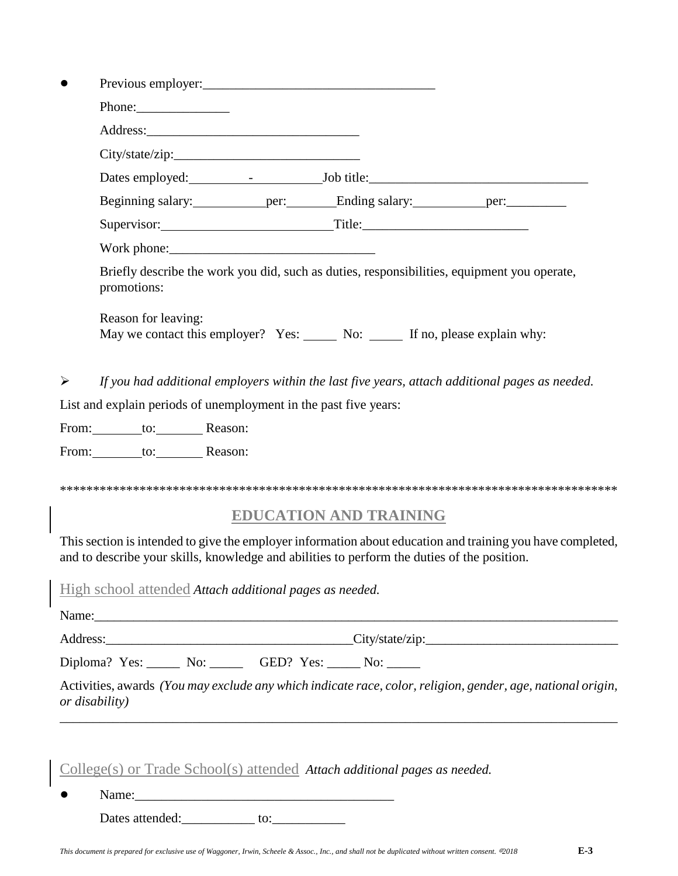| Phone:<br>Beginning salary: _____________ per: __________Ending salary: _____________ per: __________________<br>Supervisor: Title: Title:<br>Briefly describe the work you did, such as duties, responsibilities, equipment you operate,<br>promotions:<br>Reason for leaving:<br>May we contact this employer? Yes: No: No: If no, please explain why:<br>If you had additional employers within the last five years, attach additional pages as needed.<br>➤<br>List and explain periods of unemployment in the past five years:<br>From: _______ to: ________ Reason:<br>From: to: Reason:<br><b>EDUCATION AND TRAINING</b><br>and to describe your skills, knowledge and abilities to perform the duties of the position.<br>High school attended Attach additional pages as needed.<br>Diploma? Yes: No: GED? Yes: No: No:<br>Activities, awards (You may exclude any which indicate race, color, religion, gender, age, national origin,<br>or disability)<br>$\frac{\text{College}(s)}{\text{Or Trade School}(s)}$ attended Attach additional pages as needed. |  |  |  |  |  |  |  |  |  |
|------------------------------------------------------------------------------------------------------------------------------------------------------------------------------------------------------------------------------------------------------------------------------------------------------------------------------------------------------------------------------------------------------------------------------------------------------------------------------------------------------------------------------------------------------------------------------------------------------------------------------------------------------------------------------------------------------------------------------------------------------------------------------------------------------------------------------------------------------------------------------------------------------------------------------------------------------------------------------------------------------------------------------------------------------------------------|--|--|--|--|--|--|--|--|--|
| This section is intended to give the employer information about education and training you have completed,                                                                                                                                                                                                                                                                                                                                                                                                                                                                                                                                                                                                                                                                                                                                                                                                                                                                                                                                                             |  |  |  |  |  |  |  |  |  |
|                                                                                                                                                                                                                                                                                                                                                                                                                                                                                                                                                                                                                                                                                                                                                                                                                                                                                                                                                                                                                                                                        |  |  |  |  |  |  |  |  |  |
|                                                                                                                                                                                                                                                                                                                                                                                                                                                                                                                                                                                                                                                                                                                                                                                                                                                                                                                                                                                                                                                                        |  |  |  |  |  |  |  |  |  |
|                                                                                                                                                                                                                                                                                                                                                                                                                                                                                                                                                                                                                                                                                                                                                                                                                                                                                                                                                                                                                                                                        |  |  |  |  |  |  |  |  |  |
|                                                                                                                                                                                                                                                                                                                                                                                                                                                                                                                                                                                                                                                                                                                                                                                                                                                                                                                                                                                                                                                                        |  |  |  |  |  |  |  |  |  |
| Address: City/state/zip: City/state/zip:                                                                                                                                                                                                                                                                                                                                                                                                                                                                                                                                                                                                                                                                                                                                                                                                                                                                                                                                                                                                                               |  |  |  |  |  |  |  |  |  |
|                                                                                                                                                                                                                                                                                                                                                                                                                                                                                                                                                                                                                                                                                                                                                                                                                                                                                                                                                                                                                                                                        |  |  |  |  |  |  |  |  |  |
|                                                                                                                                                                                                                                                                                                                                                                                                                                                                                                                                                                                                                                                                                                                                                                                                                                                                                                                                                                                                                                                                        |  |  |  |  |  |  |  |  |  |
|                                                                                                                                                                                                                                                                                                                                                                                                                                                                                                                                                                                                                                                                                                                                                                                                                                                                                                                                                                                                                                                                        |  |  |  |  |  |  |  |  |  |
|                                                                                                                                                                                                                                                                                                                                                                                                                                                                                                                                                                                                                                                                                                                                                                                                                                                                                                                                                                                                                                                                        |  |  |  |  |  |  |  |  |  |
|                                                                                                                                                                                                                                                                                                                                                                                                                                                                                                                                                                                                                                                                                                                                                                                                                                                                                                                                                                                                                                                                        |  |  |  |  |  |  |  |  |  |
|                                                                                                                                                                                                                                                                                                                                                                                                                                                                                                                                                                                                                                                                                                                                                                                                                                                                                                                                                                                                                                                                        |  |  |  |  |  |  |  |  |  |
|                                                                                                                                                                                                                                                                                                                                                                                                                                                                                                                                                                                                                                                                                                                                                                                                                                                                                                                                                                                                                                                                        |  |  |  |  |  |  |  |  |  |
|                                                                                                                                                                                                                                                                                                                                                                                                                                                                                                                                                                                                                                                                                                                                                                                                                                                                                                                                                                                                                                                                        |  |  |  |  |  |  |  |  |  |
|                                                                                                                                                                                                                                                                                                                                                                                                                                                                                                                                                                                                                                                                                                                                                                                                                                                                                                                                                                                                                                                                        |  |  |  |  |  |  |  |  |  |
|                                                                                                                                                                                                                                                                                                                                                                                                                                                                                                                                                                                                                                                                                                                                                                                                                                                                                                                                                                                                                                                                        |  |  |  |  |  |  |  |  |  |
|                                                                                                                                                                                                                                                                                                                                                                                                                                                                                                                                                                                                                                                                                                                                                                                                                                                                                                                                                                                                                                                                        |  |  |  |  |  |  |  |  |  |
|                                                                                                                                                                                                                                                                                                                                                                                                                                                                                                                                                                                                                                                                                                                                                                                                                                                                                                                                                                                                                                                                        |  |  |  |  |  |  |  |  |  |
|                                                                                                                                                                                                                                                                                                                                                                                                                                                                                                                                                                                                                                                                                                                                                                                                                                                                                                                                                                                                                                                                        |  |  |  |  |  |  |  |  |  |
|                                                                                                                                                                                                                                                                                                                                                                                                                                                                                                                                                                                                                                                                                                                                                                                                                                                                                                                                                                                                                                                                        |  |  |  |  |  |  |  |  |  |
|                                                                                                                                                                                                                                                                                                                                                                                                                                                                                                                                                                                                                                                                                                                                                                                                                                                                                                                                                                                                                                                                        |  |  |  |  |  |  |  |  |  |
|                                                                                                                                                                                                                                                                                                                                                                                                                                                                                                                                                                                                                                                                                                                                                                                                                                                                                                                                                                                                                                                                        |  |  |  |  |  |  |  |  |  |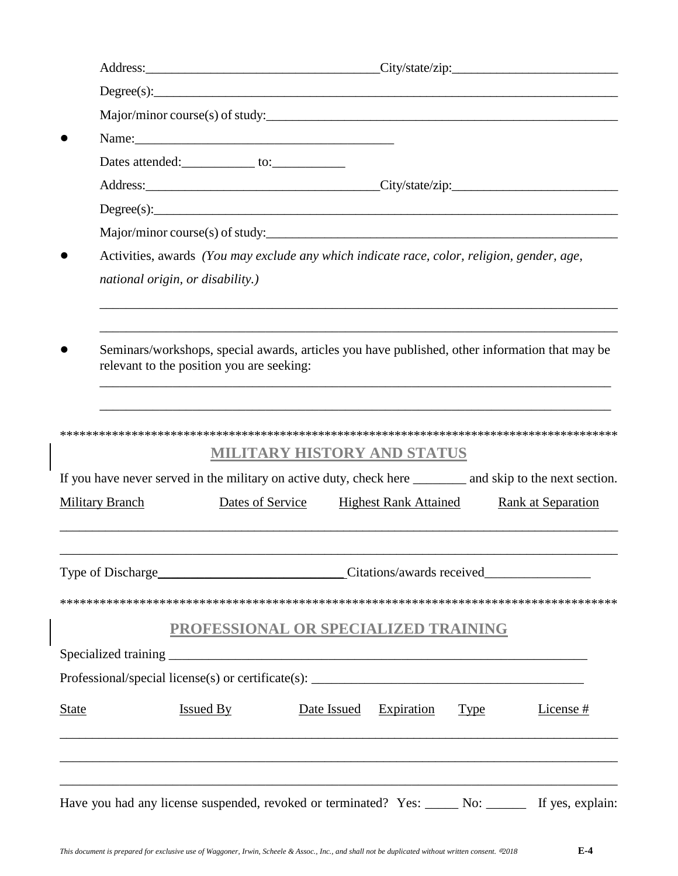|                        | Address: City/state/zip: City/state/zip:                                                                                                    |                                                        |                              |             |                           |
|------------------------|---------------------------------------------------------------------------------------------------------------------------------------------|--------------------------------------------------------|------------------------------|-------------|---------------------------|
|                        | Degree(s):                                                                                                                                  |                                                        |                              |             |                           |
|                        | Major/minor course(s) of study:                                                                                                             |                                                        |                              |             |                           |
|                        |                                                                                                                                             |                                                        |                              |             |                           |
|                        |                                                                                                                                             |                                                        |                              |             |                           |
|                        | Address: City/state/zip: City/state/zip:                                                                                                    |                                                        |                              |             |                           |
|                        | Degree(s):                                                                                                                                  |                                                        |                              |             |                           |
|                        | Major/minor course(s) of study:                                                                                                             |                                                        |                              |             |                           |
|                        | Activities, awards (You may exclude any which indicate race, color, religion, gender, age,                                                  |                                                        |                              |             |                           |
|                        | national origin, or disability.)                                                                                                            |                                                        |                              |             |                           |
|                        |                                                                                                                                             |                                                        |                              |             |                           |
|                        | Seminars/workshops, special awards, articles you have published, other information that may be<br>relevant to the position you are seeking: |                                                        |                              |             |                           |
| <b>Military Branch</b> | If you have never served in the military on active duty, check here __________ and skip to the next section.                                | <b>MILITARY HISTORY AND STATUS</b><br>Dates of Service | <b>Highest Rank Attained</b> |             | <b>Rank at Separation</b> |
|                        |                                                                                                                                             |                                                        |                              |             | Citations/awards received |
|                        |                                                                                                                                             |                                                        |                              |             |                           |
|                        |                                                                                                                                             | PROFESSIONAL OR SPECIALIZED TRAINING                   |                              |             |                           |
|                        |                                                                                                                                             |                                                        |                              |             |                           |
|                        |                                                                                                                                             |                                                        |                              |             |                           |
| <b>State</b>           | <b>Issued By</b>                                                                                                                            | Date Issued                                            | <b>Expiration</b>            | <b>Type</b> | License#                  |
|                        | Have you had any license suspended, revoked or terminated? Yes: _____ No: ______ If yes, explain:                                           |                                                        |                              |             |                           |

 $\overline{\phantom{a}}$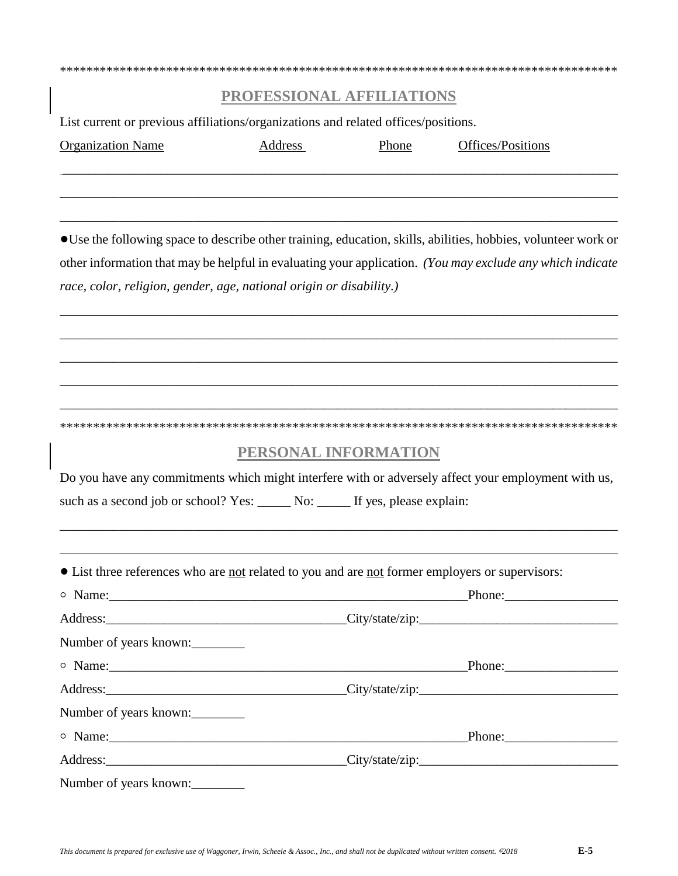### **PROFESSIONAL AFFILIATIONS**

 $\_$  . The contribution of the contribution of the contribution of the contribution of the contribution of the contribution of the contribution of the contribution of the contribution of the contribution of the contributio

\_\_\_\_\_\_\_\_\_\_\_\_\_\_\_\_\_\_\_\_\_\_\_\_\_\_\_\_\_\_\_\_\_\_\_\_\_\_\_\_\_\_\_\_\_\_\_\_\_\_\_\_\_\_\_\_\_\_\_\_\_\_\_\_\_\_\_\_\_\_\_\_\_\_\_\_\_\_\_\_\_\_\_\_\_

\_\_\_\_\_\_\_\_\_\_\_\_\_\_\_\_\_\_\_\_\_\_\_\_\_\_\_\_\_\_\_\_\_\_\_\_\_\_\_\_\_\_\_\_\_\_\_\_\_\_\_\_\_\_\_\_\_\_\_\_\_\_\_\_\_\_\_\_\_\_\_\_\_\_\_\_\_\_\_\_\_\_\_\_

\*\*\*\*\*\*\*\*\*\*\*\*\*\*\*\*\*\*\*\*\*\*\*\*\*\*\*\*\*\*\*\*\*\*\*\*\*\*\*\*\*\*\*\*\*\*\*\*\*\*\*\*\*\*\*\*\*\*\*\*\*\*\*\*\*\*\*\*\*\*\*\*\*\*\*\*\*\*\*\*\*\*\*\*

List current or previous affiliations/organizations and related offices/positions.

| <b>Organization Name</b> | Address | Phone | Offices/Positions |
|--------------------------|---------|-------|-------------------|
|--------------------------|---------|-------|-------------------|

!Use the following space to describe other training, education, skills, abilities, hobbies, volunteer work or other information that may be helpful in evaluating your application. *(You may exclude any which indicate race, color, religion, gender, age, national origin or disability.)*

\_\_\_\_\_\_\_\_\_\_\_\_\_\_\_\_\_\_\_\_\_\_\_\_\_\_\_\_\_\_\_\_\_\_\_\_\_\_\_\_\_\_\_\_\_\_\_\_\_\_\_\_\_\_\_\_\_\_\_\_\_\_\_\_\_\_\_\_\_\_\_\_\_\_\_\_\_\_\_\_\_\_\_\_\_\_\_

\_\_\_\_\_\_\_\_\_\_\_\_\_\_\_\_\_\_\_\_\_\_\_\_\_\_\_\_\_\_\_\_\_\_\_\_\_\_\_\_\_\_\_\_\_\_\_\_\_\_\_\_\_\_\_\_\_\_\_\_\_\_\_\_\_\_\_\_\_\_\_\_\_\_\_\_\_\_\_\_\_\_\_\_\_

\_\_\_\_\_\_\_\_\_\_\_\_\_\_\_\_\_\_\_\_\_\_\_\_\_\_\_\_\_\_\_\_\_\_\_\_\_\_\_\_\_\_\_\_\_\_\_\_\_\_\_\_\_\_\_\_\_\_\_\_\_\_\_\_\_\_\_\_\_\_\_\_\_\_\_\_\_\_\_\_\_\_\_\_

\_\_\_\_\_\_\_\_\_\_\_\_\_\_\_\_\_\_\_\_\_\_\_\_\_\_\_\_\_\_\_\_\_\_\_\_\_\_\_\_\_\_\_\_\_\_\_\_\_\_\_\_\_\_\_\_\_\_\_\_\_\_\_\_\_\_\_\_\_\_\_\_\_\_\_\_\_\_\_\_\_\_\_\_\_\_\_

\_\_\_\_\_\_\_\_\_\_\_\_\_\_\_\_\_\_\_\_\_\_\_\_\_\_\_\_\_\_\_\_\_\_\_\_\_\_\_\_\_\_\_\_\_\_\_\_\_\_\_\_\_\_\_\_\_\_\_\_\_\_\_\_\_\_\_\_\_\_\_\_\_\_\_\_\_\_\_\_\_\_\_\_\_ \*\*\*\*\*\*\*\*\*\*\*\*\*\*\*\*\*\*\*\*\*\*\*\*\*\*\*\*\*\*\*\*\*\*\*\*\*\*\*\*\*\*\*\*\*\*\*\*\*\*\*\*\*\*\*\*\*\*\*\*\*\*\*\*\*\*\*\*\*\*\*\*\*\*\*\*\*\*\*\*\*\*\*\*

#### **PERSONAL INFORMATION**

Do you have any commitments which might interfere with or adversely affect your employment with us, such as a second job or school? Yes: \_\_\_\_\_ No: \_\_\_\_\_ If yes, please explain:

\_\_\_\_\_\_\_\_\_\_\_\_\_\_\_\_\_\_\_\_\_\_\_\_\_\_\_\_\_\_\_\_\_\_\_\_\_\_\_\_\_\_\_\_\_\_\_\_\_\_\_\_\_\_\_\_\_\_\_\_\_\_\_\_\_\_\_\_\_\_\_\_\_\_\_\_\_\_\_\_\_\_\_\_

\_\_\_\_\_\_\_\_\_\_\_\_\_\_\_\_\_\_\_\_\_\_\_\_\_\_\_\_\_\_\_\_\_\_\_\_\_\_\_\_\_\_\_\_\_\_\_\_\_\_\_\_\_\_\_\_\_\_\_\_\_\_\_\_\_\_\_\_\_\_\_\_\_\_\_\_\_\_\_\_\_\_\_\_

! List three references who are not related to you and are not former employers or supervisors:

| o Name:                |                                          |
|------------------------|------------------------------------------|
|                        | Address: City/state/zip: City/state/zip: |
| Number of years known: |                                          |
| $\circ$ Name:          |                                          |
|                        | Address: City/state/zip: City/state/zip: |
| Number of years known: |                                          |
| $\circ$ Name:          |                                          |
|                        | Address: City/state/zip: City/state/zip: |
| Number of years known: |                                          |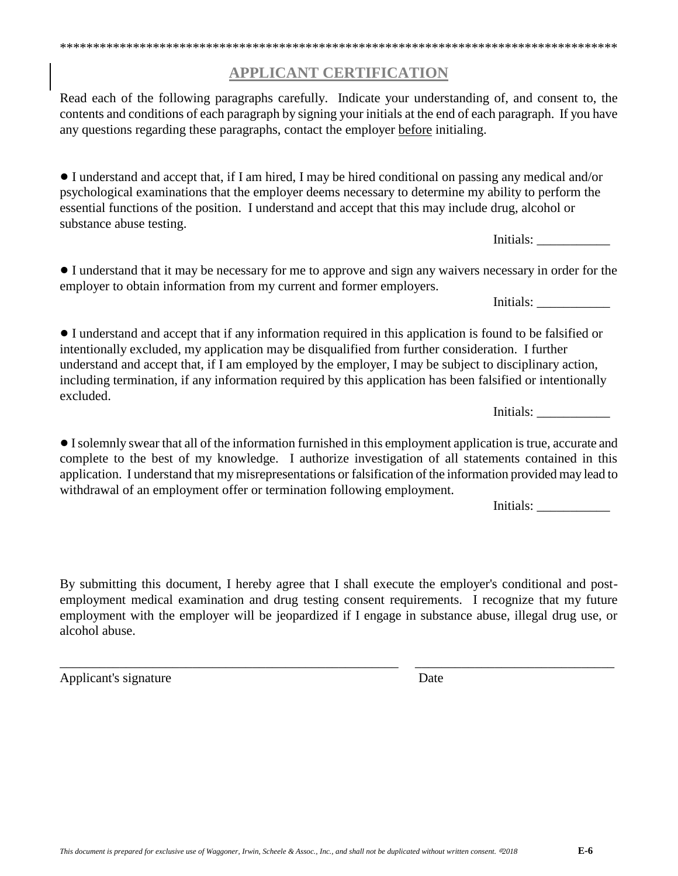#### **APPLICANT CERTIFICATION**

\*\*\*\*\*\*\*\*\*\*\*\*\*\*\*\*\*\*\*\*\*\*\*\*\*\*\*\*\*\*\*\*\*\*\*\*\*\*\*\*\*\*\*\*\*\*\*\*\*\*\*\*\*\*\*\*\*\*\*\*\*\*\*\*\*\*\*\*\*\*\*\*\*\*\*\*\*\*\*\*\*\*\*\*

Read each of the following paragraphs carefully. Indicate your understanding of, and consent to, the contents and conditions of each paragraph by signing your initials at the end of each paragraph. If you have any questions regarding these paragraphs, contact the employer before initialing.

! I understand and accept that, if I am hired, I may be hired conditional on passing any medical and/or psychological examinations that the employer deems necessary to determine my ability to perform the essential functions of the position. I understand and accept that this may include drug, alcohol or substance abuse testing.

! I understand that it may be necessary for me to approve and sign any waivers necessary in order for the employer to obtain information from my current and former employers.

! I understand and accept that if any information required in this application is found to be falsified or intentionally excluded, my application may be disqualified from further consideration. I further understand and accept that, if I am employed by the employer, I may be subject to disciplinary action, including termination, if any information required by this application has been falsified or intentionally excluded.

! I solemnly swear that all of the information furnished in this employment application is true, accurate and complete to the best of my knowledge. I authorize investigation of all statements contained in this application. I understand that my misrepresentations or falsification of the information provided may lead to withdrawal of an employment offer or termination following employment.

By submitting this document, I hereby agree that I shall execute the employer's conditional and postemployment medical examination and drug testing consent requirements. I recognize that my future

employment with the employer will be jeopardized if I engage in substance abuse, illegal drug use, or alcohol abuse.

\_\_\_\_\_\_\_\_\_\_\_\_\_\_\_\_\_\_\_\_\_\_\_\_\_\_\_\_\_\_\_\_\_\_\_\_\_\_\_\_\_\_\_\_\_\_\_\_\_\_\_ \_\_\_\_\_\_\_\_\_\_\_\_\_\_\_\_\_\_\_\_\_\_\_\_\_\_\_\_\_\_

Applicant's signature Date

Initials:

Initials:

Initials:

Initials: \_\_\_\_\_\_\_\_\_\_\_